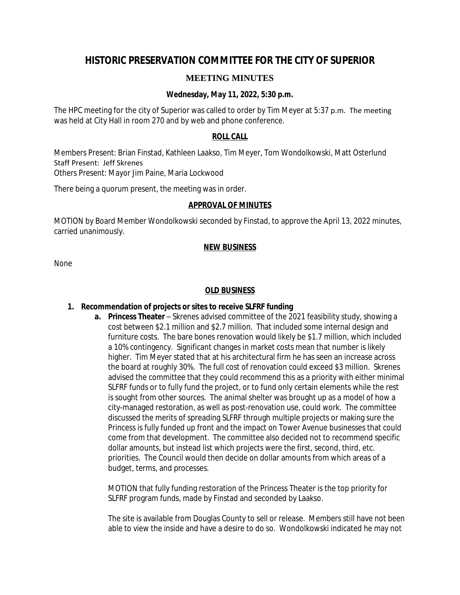# **HISTORIC PRESERVATION COMMITTEE FOR THE CITY OF SUPERIOR**

# **MEETING MINUTES**

# **Wednesday, May 11, 2022, 5:30 p.m.**

The HPC meeting for the city of Superior was called to order by Tim Meyer at 5:37 p.m. The meeting was held at City Hall in room 270 and by web and phone conference.

#### **ROLL CALL**

Members Present: Brian Finstad, Kathleen Laakso, Tim Meyer, Tom Wondolkowski, Matt Osterlund Staff Present: Jeff Skrenes Others Present: Mayor Jim Paine, Maria Lockwood

There being a quorum present, the meeting was in order.

#### **APPROVAL OF MINUTES**

MOTION by Board Member Wondolkowski seconded by Finstad, to approve the April 13, 2022 minutes, carried unanimously.

#### **NEW BUSINESS**

None

#### **OLD BUSINESS**

## **1. Recommendation of projects or sites to receive SLFRF funding**

**a. Princess Theater** – Skrenes advised committee of the 2021 feasibility study, showing a cost between \$2.1 million and \$2.7 million. That included some internal design and furniture costs. The bare bones renovation would likely be \$1.7 million, which included a 10% contingency. Significant changes in market costs mean that number is likely higher. Tim Meyer stated that at his architectural firm he has seen an increase across the board at roughly 30%. The full cost of renovation could exceed \$3 million. Skrenes advised the committee that they could recommend this as a priority with either minimal SLFRF funds or to fully fund the project, or to fund only certain elements while the rest is sought from other sources. The animal shelter was brought up as a model of how a city-managed restoration, as well as post-renovation use, could work. The committee discussed the merits of spreading SLFRF through multiple projects or making sure the Princess is fully funded up front and the impact on Tower Avenue businesses that could come from that development. The committee also decided not to recommend specific dollar amounts, but instead list which projects were the first, second, third, etc. priorities. The Council would then decide on dollar amounts from which areas of a budget, terms, and processes.

MOTION that fully funding restoration of the Princess Theater is the top priority for SLFRF program funds, made by Finstad and seconded by Laakso.

The site is available from Douglas County to sell or release. Members still have not been able to view the inside and have a desire to do so. Wondolkowski indicated he may not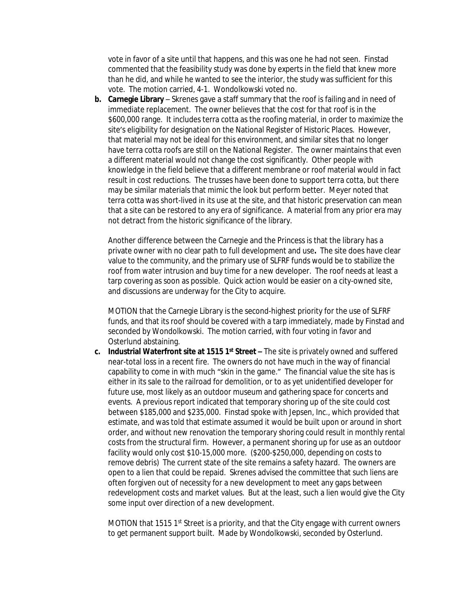vote in favor of a site until that happens, and this was one he had not seen. Finstad commented that the feasibility study was done by experts in the field that knew more than he did, and while he wanted to see the interior, the study was sufficient for this vote. The motion carried, 4-1. Wondolkowski voted no.

**b. Carnegie Library** – Skrenes gave a staff summary that the roof is failing and in need of immediate replacement. The owner believes that the cost for that roof is in the \$600,000 range. It includes terra cotta as the roofing material, in order to maximize the site's eligibility for designation on the National Register of Historic Places. However, that material may not be ideal for this environment, and similar sites that no longer have terra cotta roofs are still on the National Register. The owner maintains that even a different material would not change the cost significantly. Other people with knowledge in the field believe that a different membrane or roof material would in fact result in cost reductions. The trusses have been done to support terra cotta, but there may be similar materials that mimic the look but perform better. Meyer noted that terra cotta was short-lived in its use at the site, and that historic preservation can mean that a site can be restored to any era of significance. A material from any prior era may not detract from the historic significance of the library.

Another difference between the Carnegie and the Princess is that the library has a private owner with no clear path to full development and use**.** The site does have clear value to the community, and the primary use of SLFRF funds would be to stabilize the roof from water intrusion and buy time for a new developer. The roof needs at least a tarp covering as soon as possible. Quick action would be easier on a city-owned site, and discussions are underway for the City to acquire.

MOTION that the Carnegie Library is the second-highest priority for the use of SLFRF funds, and that its roof should be covered with a tarp immediately, made by Finstad and seconded by Wondolkowski. The motion carried, with four voting in favor and Osterlund abstaining.

**c. Industrial Waterfront site at 1515 1<sup>st</sup> Street –** The site is privately owned and suffered near-total loss in a recent fire. The owners do not have much in the way of financial capability to come in with much "skin in the game." The financial value the site has is either in its sale to the railroad for demolition, or to as yet unidentified developer for future use, most likely as an outdoor museum and gathering space for concerts and events. A previous report indicated that temporary shoring up of the site could cost between \$185,000 and \$235,000. Finstad spoke with Jepsen, Inc., which provided that estimate, and was told that estimate assumed it would be built upon or around in short order, and without new renovation the temporary shoring could result in monthly rental costs from the structural firm. However, a permanent shoring up for use as an outdoor facility would only cost \$10-15,000 more. (\$200-\$250,000, depending on costs to remove debris) The current state of the site remains a safety hazard. The owners are open to a lien that could be repaid. Skrenes advised the committee that such liens are often forgiven out of necessity for a new development to meet any gaps between redevelopment costs and market values. But at the least, such a lien would give the City some input over direction of a new development.

MOTION that 1515 1<sup>st</sup> Street is a priority, and that the City engage with current owners to get permanent support built. Made by Wondolkowski, seconded by Osterlund.